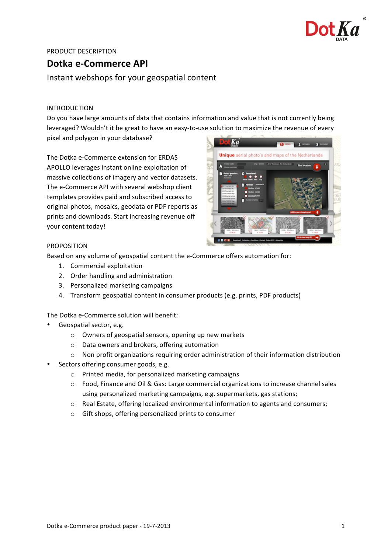

# PRODUCT DESCRIPTION

# **Dotka e-Commerce API**

Instant webshops for your geospatial content

# INTRODUCTION

Do you have large amounts of data that contains information and value that is not currently being leveraged? Wouldn't it be great to have an easy-to-use solution to maximize the revenue of every

pixel and polygon in your database?

The Dotka e-Commerce extension for ERDAS APOLLO leverages instant online exploitation of massive collections of imagery and vector datasets. The e-Commerce API with several webshop client templates provides paid and subscribed access to original photos, mosaics, geodata or PDF reports as prints and downloads. Start increasing revenue off your content today!



# PROPOSITION

Based on any volume of geospatial content the e-Commerce offers automation for:

- 1. Commercial exploitation
- 2. Order handling and administration
- 3. Personalized marketing campaigns
- 4. Transform geospatial content in consumer products (e.g. prints, PDF products)

The Dotka e-Commerce solution will benefit:

- Geospatial sector, e.g.
	- $\circ$  Owners of geospatial sensors, opening up new markets
	- o Data owners and brokers, offering automation
	- $\circ$  Non profit organizations requiring order administration of their information distribution
- Sectors offering consumer goods, e.g.
	- o Printed media, for personalized marketing campaigns
	- $\circ$  Food, Finance and Oil & Gas: Large commercial organizations to increase channel sales using personalized marketing campaigns, e.g. supermarkets, gas stations;
	- $\circ$  Real Estate, offering localized environmental information to agents and consumers;
	- o Gift shops, offering personalized prints to consumer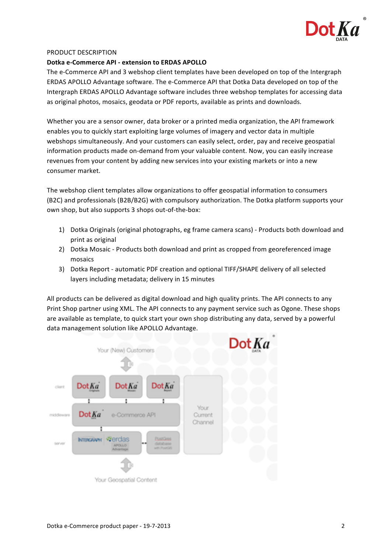

#### PRODUCT DESCRIPTION

### **Dotka e-Commerce API - extension to ERDAS APOLLO**

The e-Commerce API and 3 webshop client templates have been developed on top of the Intergraph ERDAS APOLLO Advantage software. The e-Commerce API that Dotka Data developed on top of the Intergraph ERDAS APOLLO Advantage software includes three webshop templates for accessing data as original photos, mosaics, geodata or PDF reports, available as prints and downloads.

Whether you are a sensor owner, data broker or a printed media organization, the API framework enables you to quickly start exploiting large volumes of imagery and vector data in multiple webshops simultaneously. And your customers can easily select, order, pay and receive geospatial information products made on-demand from your valuable content. Now, you can easily increase revenues from your content by adding new services into your existing markets or into a new consumer market.

The webshop client templates allow organizations to offer geospatial information to consumers (B2C) and professionals (B2B/B2G) with compulsory authorization. The Dotka platform supports your own shop, but also supports 3 shops out-of-the-box:

- 1) Dotka Originals (original photographs, eg frame camera scans) Products both download and print as original
- 2) Dotka Mosaic Products both download and print as cropped from georeferenced image mosaics
- 3) Dotka Report automatic PDF creation and optional TIFF/SHAPE delivery of all selected layers including metadata; delivery in 15 minutes

All products can be delivered as digital download and high quality prints. The API connects to any Print Shop partner using XML. The API connects to any payment service such as Ogone. These shops are available as template, to quick start your own shop distributing any data, served by a powerful data management solution like APOLLO Advantage.

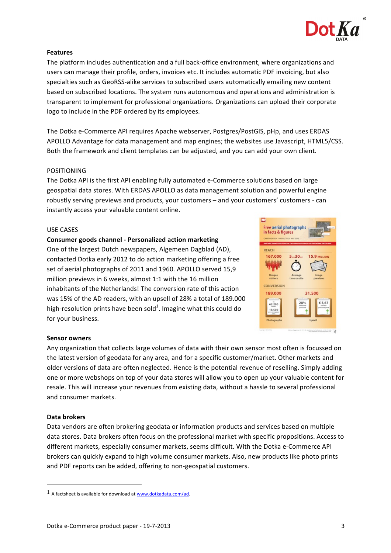

# **Features**

The platform includes authentication and a full back-office environment, where organizations and users can manage their profile, orders, invoices etc. It includes automatic PDF invoicing, but also specialties such as GeoRSS-alike services to subscribed users automatically emailing new content based on subscribed locations. The system runs autonomous and operations and administration is transparent to implement for professional organizations. Organizations can upload their corporate logo to include in the PDF ordered by its employees.

The Dotka e-Commerce API requires Apache webserver, Postgres/PostGIS, pHp, and uses ERDAS APOLLO Advantage for data management and map engines; the websites use Javascript, HTML5/CSS. Both the framework and client templates can be adjusted, and you can add your own client.

## POSITIONING

The Dotka API is the first API enabling fully automated e-Commerce solutions based on large geospatial data stores. With ERDAS APOLLO as data management solution and powerful engine robustly serving previews and products, your customers – and your customers' customers - can instantly access your valuable content online.

#### USE CASES

#### **Consumer goods channel - Personalized action marketing**

One of the largest Dutch newspapers, Algemeen Dagblad (AD), contacted Dotka early 2012 to do action marketing offering a free set of aerial photographs of 2011 and 1960. APOLLO served 15,9 million previews in 6 weeks, almost 1:1 with the 16 million inhabitants of the Netherlands! The conversion rate of this action was 15% of the AD readers, with an upsell of 28% a total of 189,000 high-resolution prints have been sold<sup>1</sup>. Imagine what this could do for your business.



#### **Sensor owners**

Any organization that collects large volumes of data with their own sensor most often is focussed on the latest version of geodata for any area, and for a specific customer/market. Other markets and older versions of data are often neglected. Hence is the potential revenue of reselling. Simply adding one or more webshops on top of your data stores will allow you to open up your valuable content for resale. This will increase your revenues from existing data, without a hassle to several professional and consumer markets.

#### **Data brokers**

Data vendors are often brokering geodata or information products and services based on multiple data stores. Data brokers often focus on the professional market with specific propositions. Access to different markets, especially consumer markets, seems difficult. With the Dotka e-Commerce API brokers can quickly expand to high volume consumer markets. Also, new products like photo prints and PDF reports can be added, offering to non-geospatial customers.

 

 $1$  A factsheet is available for download at  $www.dotkadata.com/ad.$